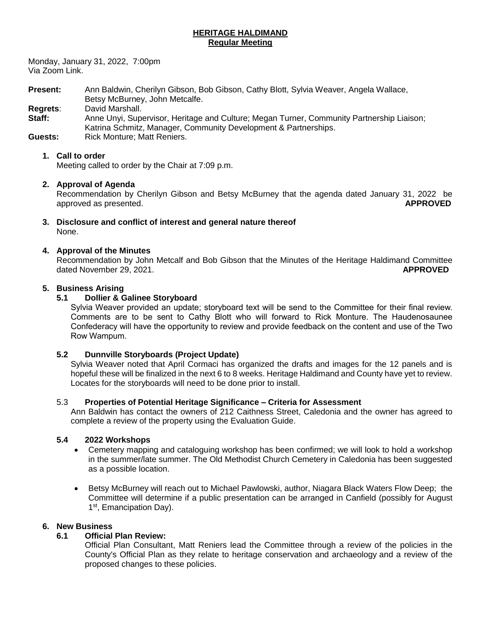## **HERITAGE HALDIMAND Regular Meeting**

Monday, January 31, 2022, 7:00pm Via Zoom Link.

**Present:** Ann Baldwin, Cherilyn Gibson, Bob Gibson, Cathy Blott, Sylvia Weaver, Angela Wallace, Betsy McBurney, John Metcalfe. **Regrets**: David Marshall.

Staff: Anne Unyi, Supervisor, Heritage and Culture; Megan Turner, Community Partnership Liaison; Katrina Schmitz, Manager, Community Development & Partnerships.

**Guests:** Rick Monture: Matt Reniers.

## **1. Call to order**

Meeting called to order by the Chair at 7:09 p.m.

## **2. Approval of Agenda**

Recommendation by Cherilyn Gibson and Betsy McBurney that the agenda dated January 31, 2022 be approved as presented. **APPROVED**

**3. Disclosure and conflict of interest and general nature thereof** None.

#### **4. Approval of the Minutes**

Recommendation by John Metcalf and Bob Gibson that the Minutes of the Heritage Haldimand Committee dated November 29, 2021. **APPROVED**

#### **5. Business Arising**

## **5.1 Dollier & Galinee Storyboard**

Sylvia Weaver provided an update; storyboard text will be send to the Committee for their final review. Comments are to be sent to Cathy Blott who will forward to Rick Monture. The Haudenosaunee Confederacy will have the opportunity to review and provide feedback on the content and use of the Two Row Wampum.

#### **5.2 Dunnville Storyboards (Project Update)**

Sylvia Weaver noted that April Cormaci has organized the drafts and images for the 12 panels and is hopeful these will be finalized in the next 6 to 8 weeks. Heritage Haldimand and County have yet to review. Locates for the storyboards will need to be done prior to install.

#### 5.3 **Properties of Potential Heritage Significance – Criteria for Assessment**

Ann Baldwin has contact the owners of 212 Caithness Street, Caledonia and the owner has agreed to complete a review of the property using the Evaluation Guide.

## **5.4 2022 Workshops**

- Cemetery mapping and cataloguing workshop has been confirmed; we will look to hold a workshop in the summer/late summer. The Old Methodist Church Cemetery in Caledonia has been suggested as a possible location.
- Betsy McBurney will reach out to Michael Pawlowski, author, Niagara Black Waters Flow Deep; the Committee will determine if a public presentation can be arranged in Canfield (possibly for August 1<sup>st</sup>, Emancipation Day).

#### **6. New Business**

#### **6.1 Official Plan Review:**

Official Plan Consultant, Matt Reniers lead the Committee through a review of the policies in the County's Official Plan as they relate to heritage conservation and archaeology and a review of the proposed changes to these policies.